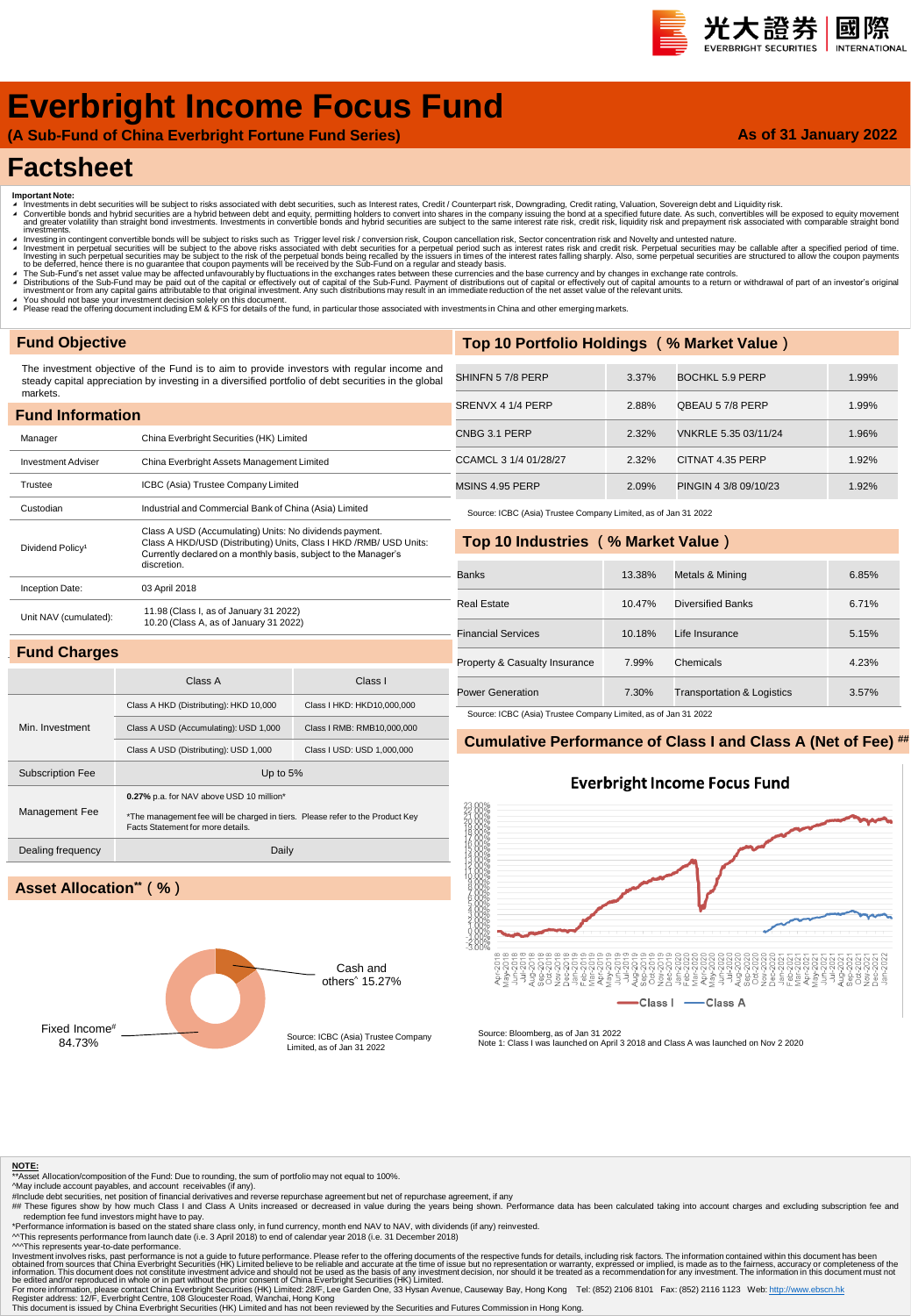#### 光大證券 國際 **INTERNATION**

# **Everbright Income Focus Fund**

**(A Sub-Fund of China Everbright Fortune Fund Series)**

#### **As of 31 January 2022**

## **Factsheet**

- 
- Important Note:<br>▲ Investments in debt securities will be subject to risks associated with debt securities, such as Interest rates, Credit / Counterpart risk, Downgrading, Credit rating, Valuation, Sovereign debt and Liqui
- nvestinents.<br>Investing in contingent convertible bonds will be subject to risks such as Trigger level risk / conversion risk, Coupon cancellation risk, Sector concentration risk and Novelty and untested nature Investment in perpetual securities will be subject to the above risks associated with debt securities for a perpetual period such as interest rates risk and credit risk. Perpetual securities may be callable after a specifi
- ▲ The Sub-Fund's net asset value may be affected unfavourably by fluctuations in the exchanges rates between these currencies and the base currency and by changes in exchange rate controls.<br>▲ Distributions of the Sub-Fund
- 
- ∡ You should not base your investment decision solely on this document.<br>◢ Please read the offering document including EM & KFS for details of the fund, in particular those associated with investments in China and other em

#### **Fund Objective**

The investment objective of the Fund is to aim to provide investors with regular income and steady capital appreciation by investing in a diversified portfolio of debt securities in the global markets.

| <b>Fund Information</b>      |                                                                                                                                                                                                                  |  |  |  |  |  |  |  |  |
|------------------------------|------------------------------------------------------------------------------------------------------------------------------------------------------------------------------------------------------------------|--|--|--|--|--|--|--|--|
| Manager                      | China Everbright Securities (HK) Limited                                                                                                                                                                         |  |  |  |  |  |  |  |  |
| <b>Investment Adviser</b>    | China Everbright Assets Management Limited                                                                                                                                                                       |  |  |  |  |  |  |  |  |
| Trustee                      | ICBC (Asia) Trustee Company Limited                                                                                                                                                                              |  |  |  |  |  |  |  |  |
| Custodian                    | Industrial and Commercial Bank of China (Asia) Limited                                                                                                                                                           |  |  |  |  |  |  |  |  |
| Dividend Policy <sup>1</sup> | Class A USD (Accumulating) Units: No dividends payment.<br>Class A HKD/USD (Distributing) Units, Class I HKD / RMB/ USD Units:<br>Currently declared on a monthly basis, subject to the Manager's<br>discretion. |  |  |  |  |  |  |  |  |
| Inception Date:              | 03 April 2018                                                                                                                                                                                                    |  |  |  |  |  |  |  |  |
| Unit NAV (cumulated):        | 11.98 (Class I, as of January 31 2022)<br>10.20 (Class A, as of January 31 2022)                                                                                                                                 |  |  |  |  |  |  |  |  |
| <b>Fund Charges</b>          |                                                                                                                                                                                                                  |  |  |  |  |  |  |  |  |

Class A Class I

Class A HKD (Distributing): HKD 10,000 Class I HKD: HKD10,000,000 Class A USD (Accumulating): USD 1,000 Class I RMB: RMB10,000,000 Class A USD (Distributing): USD 1,000 Class I USD: USD 1,000,000

\*The management fee will be charged in tiers. Please refer to the Product Key

| Top 10 Portfolio Holdings (% Market Value) |       |                        |       |  |  |  |  |  |  |  |  |
|--------------------------------------------|-------|------------------------|-------|--|--|--|--|--|--|--|--|
|                                            |       |                        |       |  |  |  |  |  |  |  |  |
| SHINFN 57/8 PERP                           | 3.37% | <b>BOCHKL 5.9 PERP</b> | 1.99% |  |  |  |  |  |  |  |  |
| SRENVX 4 1/4 PERP                          | 2.88% | QBEAU 57/8 PERP        | 1.99% |  |  |  |  |  |  |  |  |
| CNBG 3.1 PERP                              | 2.32% | VNKRLE 5.35 03/11/24   | 1.96% |  |  |  |  |  |  |  |  |
| CCAMCL 3 1/4 01/28/27                      | 2.32% | CITNAT 4.35 PERP       | 1.92% |  |  |  |  |  |  |  |  |
| MSINS 4.95 PERP                            | 2.09% | PINGIN 4 3/8 09/10/23  | 1.92% |  |  |  |  |  |  |  |  |

Source: ICBC (Asia) Trustee Company Limited, as of Jan 31 2022

#### **Top 10 Industries (% Market Value)**

| <b>Banks</b>                  | 13.38% | Metals & Mining                       | 6.85% |
|-------------------------------|--------|---------------------------------------|-------|
| Real Estate                   | 10.47% | Diversified Banks                     | 6.71% |
| <b>Financial Services</b>     | 10.18% | Life Insurance                        | 5.15% |
| Property & Casualty Insurance | 7.99%  | Chemicals                             | 4.23% |
| <b>Power Generation</b>       | 7.30%  | <b>Transportation &amp; Logistics</b> | 3.57% |

ource: ICBC (Asia) Trustee Company Limited, as of Jan 31 2022

#### **Cumulative Performance of Class I and Class A (Net of Fee) ##**

#### **Everbright Income Focus Fund**



## **Asset Allocation\*\*(%)**

Subscription Fee Up to 5%

Dealing frequency Daily

**0.27%** p.a. for NAV above USD 10 million\*

Facts Statement for more details.

Min. Investment

Management Fee





Source: Bloomberg, as of Jan 31 2022 Note 1: Class I was launched on April 3 2018 and Class A was launched on Nov 2 2020

#### **NOTE:**

 $\frac{1}{2}$  Asset Allocation/composition of the Fund: Due to rounding, the sum of portfolio may not equal to 100%.

- 
- 

^May include account payables, and account receivables (if any).<br>#Include debt securities, net position of financial derivatives and reverse repurchase agreement but net of repurchase agreement, if any<br>## These figures sho

redemption fee fund investors might have to pay.<br>"Performance information is based on the stated share class only, in fund currency, month end NAV to NAV, with dividends (if any) reinvested.<br>^^This represents performance

^^^This represents year-to-date performance.

Investment involves risks, past performance is not a guide to future performance. Please refer to the offering documents of the expective substanced from sources that China Everbright Securities (HK) Limited believe to be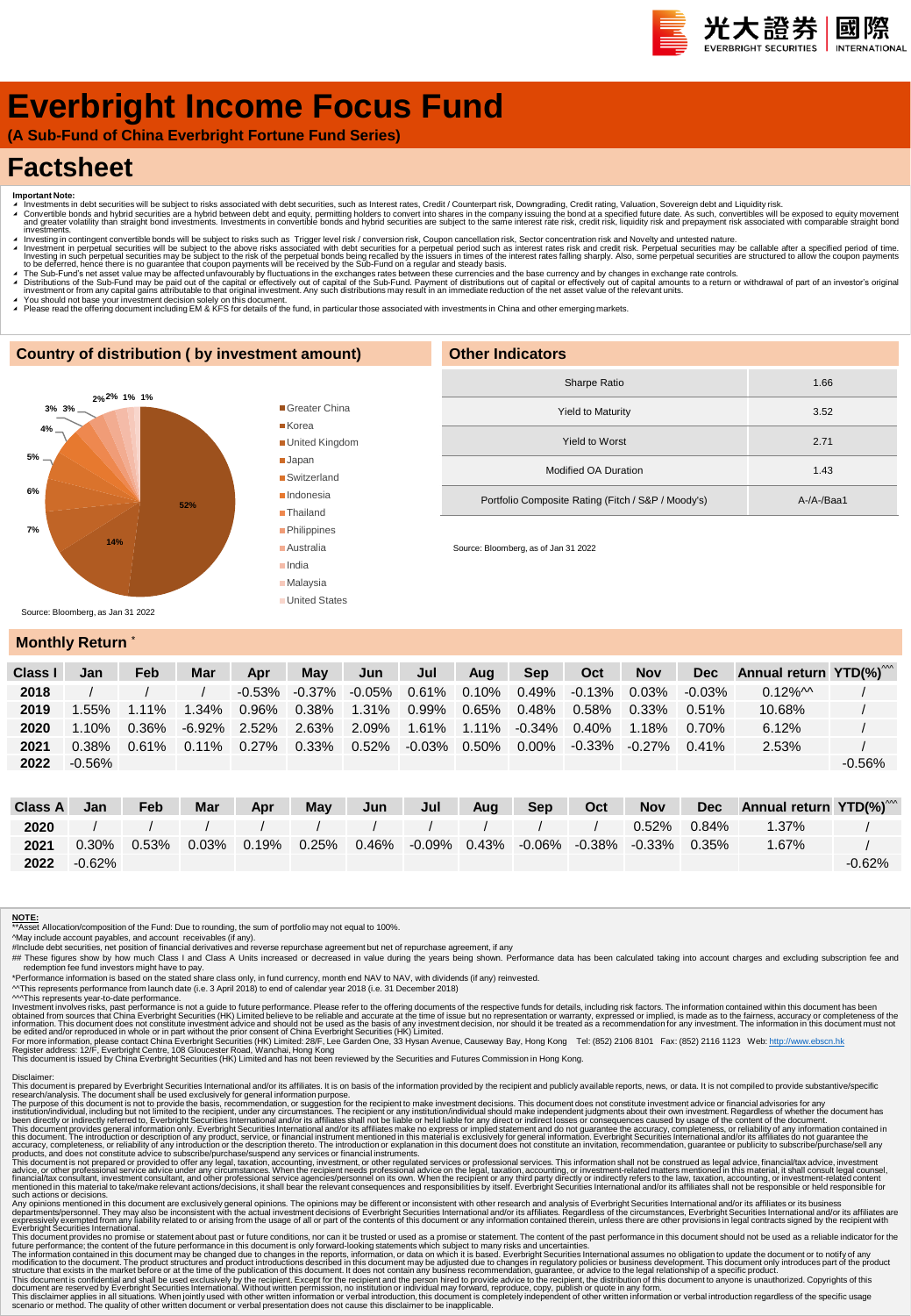# **Everbright Income Focus Fund**

**(A Sub-Fund of China Everbright Fortune Fund Series)**

# **Factsheet**

- 
- Important Note:<br>▲ Investments in debt securities will be subject to risks associated with debt securities, such as Interest rates, Credit / Counterpart risk, Downgrading, Credit rating, Valuation, Sovereign debt and Equid
- ◢ Investing in contingent convertible bonds will be subject to risks such as Trigger level risk / conversion risk, Coupon cancellation risk, Sector concentration risk and Novelty and untested nature. Investment in perpetual securities will be subject to the above risks associated with debt securities for a perpetual period such as interest rates risk and credit risk. Perpetual securities may be callable after a specifi
- A The Sub-Fund's net asset value may be affected unfavourably by fluctuations in the exchanges rates between these currencies and the base currency and by changes in exchange rate controls.<br>A Distributions of the Sub-Fund
- 
- ∡ You should not base your investment decision solely on this document.<br>▲ Please read the offering document including EM & KFS for details of the fund, in particular those associated with investments in China and other em

#### **Country of distribution ( by investment amount)**



| <b>Other Indicators</b>                            |            |
|----------------------------------------------------|------------|
| Sharpe Ratio                                       | 1.66       |
| <b>Yield to Maturity</b>                           | 3.52       |
| Yield to Worst                                     | 2.71       |
| Modified OA Duration                               | 1.43       |
| Portfolio Composite Rating (Fitch / S&P / Moody's) | $A-A-Baa1$ |

Source: Bloomberg, as of Jan 31 2022

#### **Monthly Return**

| Class I | Jan       | Feb      | Mar      | Apr      | May       | Jun               | Jul    | Aua      | <b>Sep</b>         | Oct       | <b>Nov</b> | <b>Dec</b> | Annual return YTD(%) <sup>"**</sup> |          |
|---------|-----------|----------|----------|----------|-----------|-------------------|--------|----------|--------------------|-----------|------------|------------|-------------------------------------|----------|
| 2018    |           |          |          | -0.53%   | $-0.37\%$ | $-0.05\%$ 0.61%   |        | $0.10\%$ | $0.49\%$           | $-0.13\%$ | 0.03%      | $-0.03\%$  | $0.12\%$ M                          |          |
| 2019    | .55%      | $1.11\%$ | $1.34\%$ | 0.96%    | $0.38\%$  | 1.31%             | 0.99%  |          | 0.65% 0.48%        | $0.58\%$  | $0.33\%$   | 0.51%      | 10.68%                              |          |
| 2020    | $1.10\%$  | $0.36\%$ | -6.92%   | 2.52%    |           | 2.63% 2.09% 1.61% |        |          | 1.11% -0.34% 0.40% |           | $1.18\%$   | 0.70%      | 6.12%                               |          |
| 2021    | $0.38\%$  | $0.61\%$ | $0.11\%$ | $0.27\%$ | $0.33\%$  | $0.52\%$          | -0.03% | 0.50%    | 0.00%              | -0.33%    | $-0.27\%$  | $0.41\%$   | 2.53%                               |          |
| 2022    | $-0.56\%$ |          |          |          |           |                   |        |          |                    |           |            |            |                                     | $-0.56%$ |

| Class A | Jan       | Feb   | <b>Mar</b> | Apr         | May      | Jun | Jul                   | Aug | <b>Sep</b> | Oct | <b>Nov</b>                          | <b>Dec</b> | Annual return YTD(%) <sup>***</sup> |          |
|---------|-----------|-------|------------|-------------|----------|-----|-----------------------|-----|------------|-----|-------------------------------------|------------|-------------------------------------|----------|
| 2020    |           |       |            |             |          |     |                       |     |            |     | 0.52%                               | $0.84\%$   | 1.37%                               |          |
| 2021    | $0.30\%$  | 0.53% |            | 0.03% 0.19% | $0.25\%$ |     | $0.46\%$ -0.09% 0.43% |     |            |     | $-0.06\%$ $-0.38\%$ $-0.33\%$ 0.35% |            | $1.67\%$                            |          |
| 2022    | $-0.62\%$ |       |            |             |          |     |                       |     |            |     |                                     |            |                                     | $-0.62%$ |

#### **NOTE:**

\*\*Asset Allocation/composition of the Fund: Due to rounding, the sum of portfolio may not equal to 100%.

^May include account payables, and account receivables (if any).<br>#Include debt securities, net position of financial derivatives and reverse repurchase agreement but net of repurchase agreement, if any<br>## These figures sho

redemption fee fund investors might have to pay.<br>"Performance information is based on the stated share class only, in fund currency, month end NAV to NAV, with dividends (if any) reinvested.<br>^^This represents performance f

Investment involves risks, past performance is not a guide to future performance. Please refer to the offering documents of the expective substanced from sources that China Everbright Securities (HK) Limited believe to be

Disclaimer:<br>This document is prepared by Everbright Securities International and/or its affiliates. It is on basis of the information provided by the recipient and publicly available reports, news, or data. It is not compi

The purpose of this document is not to provide the basis, recommendation, or suggestion for the recipient to make investment decisions. This document divident his metally advisories for any incrument and the metally includ

Any opinion mentioned in this document are exclusively general opinions. The opinions may be different or inconsistent with the research and and/or its affiliates. or its busines mentioned in this document are served by it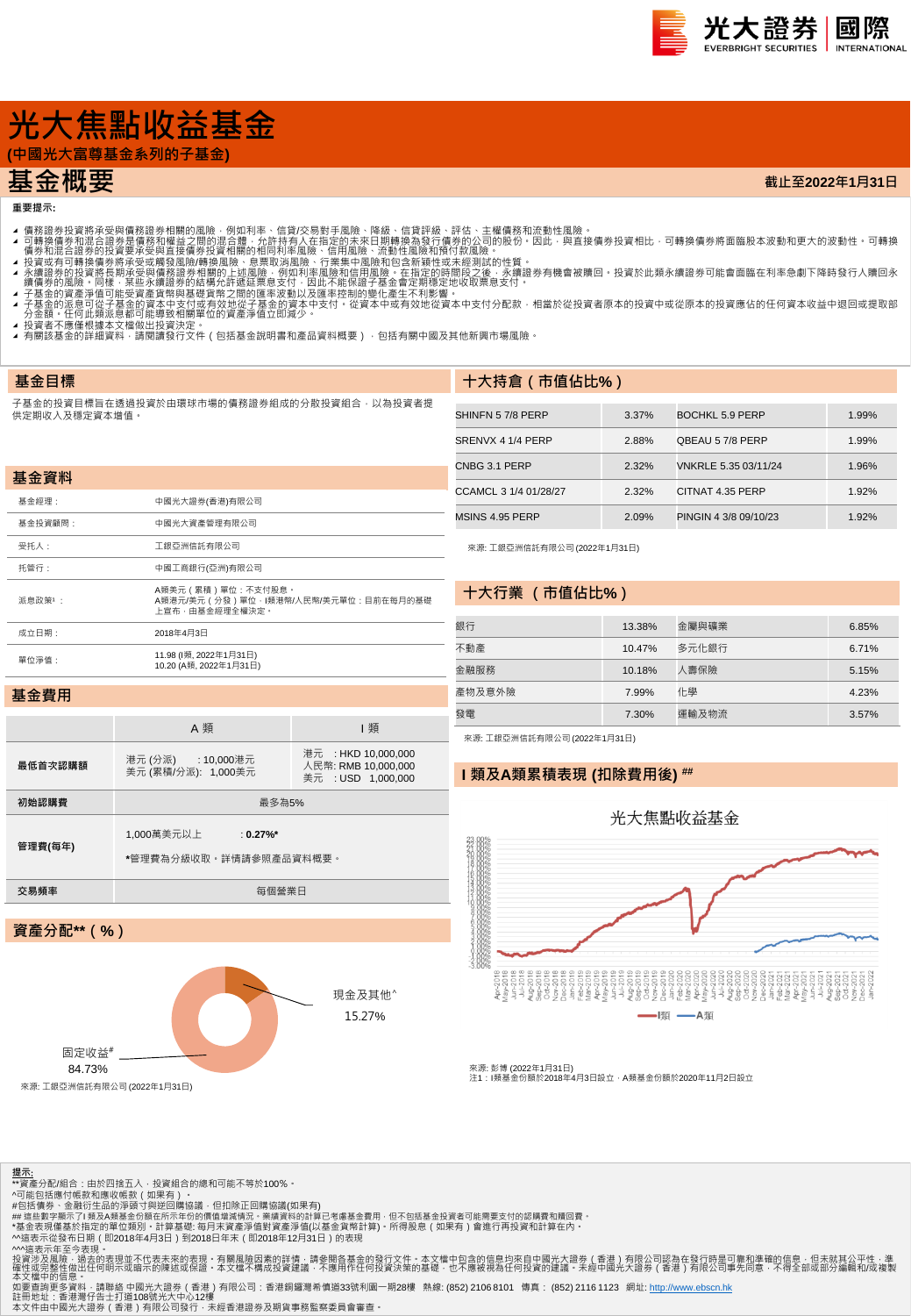

**截止至2022年1月31日**

# **光大焦點收益基金**

**(中國光大富尊基金系列的子基金)**

## **基金概要**

#### **重要提示:**

**基金目標**

- 
- 4 可轉證券投資將承受與情務證券相關的風險,例如利率、信貸次易對手風險、降線、信貸評級、評估、主權債務和流動性風險。<br>4 可轉換債務業投資將承受與情務額證外相關的風險,例如利率、信貸次易對手風險、降風、有限部級行情勞的公司的股份,因此,與直接債券投資相比,可轉換債券將面臨股本波動和更大的波動性 可轉換<br>4 債券和混合證券的投資要承受與直接債券投資相關的相同利率風險、行業集中風險和頂待付款風險 •<br>1 積分和混合證券的投資要承受要項資
- 
- 
- 
- 
- ▲ 投資者不應惶恨據本又僵做出投資決定 。<br>▲ 有關該基金的詳細資料 · 請閱讀發行文件(包括基金說明書和產品資料概要) · 包括有關中國及其他新興市場風險 ·

#### 子基金的投資目標旨在透過投資於由環球市場的債務證券組成的分散投資組合,以為投資者提 供定期收入及穩定資本增值。

| 基金資料    |                                                                                    |
|---------|------------------------------------------------------------------------------------|
| 基金經理:   | 中國光大證券(香港)有限公司                                                                     |
| 基金投資顧問: | 中國光大資產管理有限公司                                                                       |
| 受托人:    | 工銀亞洲信託有限公司                                                                         |
| 托管行:    | 中國工商銀行(亞洲)有限公司                                                                     |
| 派息政策1:  | A類美元 ( 累積 ) 單位 : 不支付股息。<br>A類港元/美元 (分發)單位·I類港幣/人民幣/美元單位:目前在每月的基礎<br>上宣布・由基金經理全權決定・ |
| 成立日期:   | 2018年4月3日                                                                          |
| 單位淨值:   | 11.98 (l類, 2022年1月31日)<br>10.20 (A類, 2022年1月31日)                                   |

| SHINFN 57/8 PERP      | 3.37% | BOCHKL 5.9 PERP       | 1.99% |
|-----------------------|-------|-----------------------|-------|
| SRENVX 4 1/4 PERP     | 2.88% | QBEAU 57/8 PERP       | 1.99% |
| CNBG 3.1 PERP         | 2.32% | VNKRLE 5.35 03/11/24  | 1.96% |
| CCAMCL 3 1/4 01/28/27 | 2.32% | CITNAT 4.35 PERP      | 1.92% |
| MSINS 4.95 PERP       | 2.09% | PINGIN 4 3/8 09/10/23 | 1.92% |

來源: 工銀亞洲信託有限公司 (2022年1月31日)

**十大持倉(市值佔比%)**

#### **十大行業 (市值佔比%)**

| 銀行     | 13.38% | 金屬與礦業 | 6.85% |
|--------|--------|-------|-------|
| 不動產    | 10.47% | 多元化銀行 | 6.71% |
| 金融服務   | 10.18% | 人壽保險  | 5.15% |
| 產物及意外險 | 7.99%  | 化學    | 4.23% |
| 發電     | 7.30%  | 運輸及物流 | 3.57% |

#### **基金費用**

|         | A 類                                                  | 類                                                                |  |  |  |  |  |  |  |
|---------|------------------------------------------------------|------------------------------------------------------------------|--|--|--|--|--|--|--|
| 最低首次認購額 | 港元 (分派) : 10,000港元<br>美元 (累積/分派): 1,000美元            | 港元 : HKD 10,000,000<br>人民幣: RMB 10.000.000<br>美元 : USD 1.000.000 |  |  |  |  |  |  |  |
| 初始認購費   | 最多為5%                                                |                                                                  |  |  |  |  |  |  |  |
| 管理費(每年) | 1,000萬美元以上<br>: $0.27\%$ *<br>*管理費為分級收取。詳情請參照產品資料概要。 |                                                                  |  |  |  |  |  |  |  |
| 交易頻率    | 每個營業日                                                |                                                                  |  |  |  |  |  |  |  |
|         |                                                      |                                                                  |  |  |  |  |  |  |  |
|         | 資產分配**(%)                                            |                                                                  |  |  |  |  |  |  |  |

## 來源: 工銀亞洲信託有限公司 (2022年1月31日)

#### **I 類及A類累積表現 (扣除費用後) ##**

# 光大焦點收益基金 - |類 –– A類

來源: 彭博 (2022年1月31日)<br>注1 : I類基金份額於2018年4月3日設立,A類基金份額於2020年11月2日設立





#包括債券、金融衍生品的淨頭寸與逆回購協議,但扣除正回購協議(如果有)<br>## 這些數字顯示了I 類及A類基金份額在所示年份的價值增減情況 • 業績資料的計算已考慮基金費用 · 但不包括基金投資者可能需要支付的認購費和贖回費 •

\*基金表現僅基於指定的單位類別・計算基礎: 每月末資產淨值對資產淨值(以基金貨幣計算)・所得股息(如果有)會進行再投資和計算在內・<br>^^遠表示從發布日期(即2018年4月3日)到2018日年末(即2018年12月31日)的表現<br>^^遠表示不至今表現。<br>投資涉及風險・過去的表現並不代表未來的表現・有關風險因素的詳情:請參閱各基金的發行文件・本文檔中包含的信息均來自中國光大證券(香港)有限公司認為在發行時是可靠和準確的信息・但未就其公平性・

本文檔中的信息 •<br>如要查詢更多資料 · 請聯絡 中國光大證券(香港)有限公司:香港銅鑼灣希慎道33號利園一期28樓 熱線: (852) 2106 8101 傳真: (852) 2116 1123 網址: [http://www.ebscn.hk](http://www.ebscn.hk/)

註冊地址:香港灣仔告士打道108號光大中心12樓<br>本文件由中國光大證券(香港)有限公司發行‧未經香港證券及期貨事務監察委員會審查。